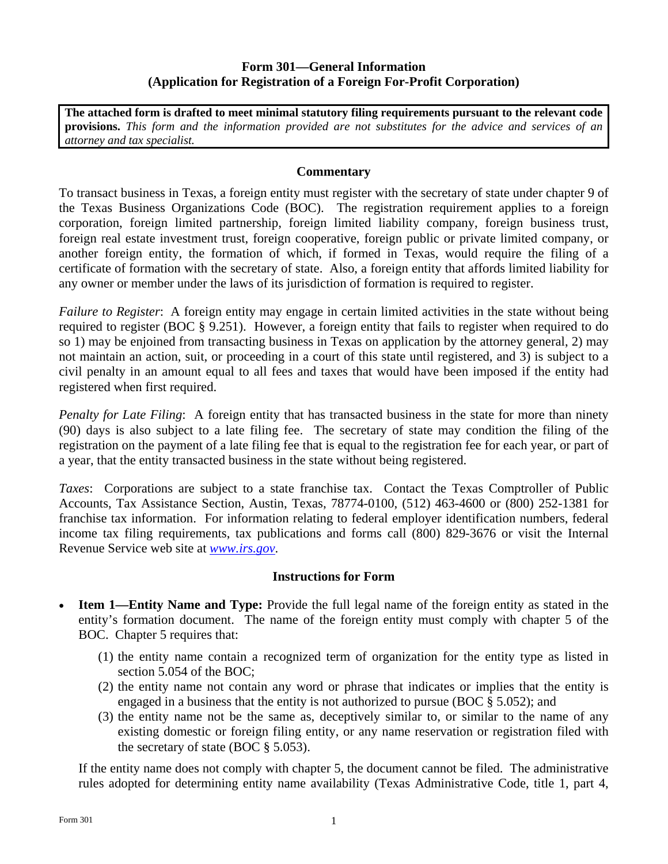## **Form 301—General Information (Application for Registration of a Foreign For-Profit Corporation)**

**The attached form is drafted to meet minimal statutory filing requirements pursuant to the relevant code provisions.** *This form and the information provided are not substitutes for the advice and services of an attorney and tax specialist.* 

## **Commentary**

To transact business in Texas, a foreign entity must register with the secretary of state under chapter 9 of the Texas Business Organizations Code (BOC). The registration requirement applies to a foreign corporation, foreign limited partnership, foreign limited liability company, foreign business trust, foreign real estate investment trust, foreign cooperative, foreign public or private limited company, or another foreign entity, the formation of which, if formed in Texas, would require the filing of a certificate of formation with the secretary of state. Also, a foreign entity that affords limited liability for any owner or member under the laws of its jurisdiction of formation is required to register.

*Failure to Register*: A foreign entity may engage in certain limited activities in the state without being required to register (BOC § 9.251). However, a foreign entity that fails to register when required to do so 1) may be enjoined from transacting business in Texas on application by the attorney general, 2) may not maintain an action, suit, or proceeding in a court of this state until registered, and 3) is subject to a civil penalty in an amount equal to all fees and taxes that would have been imposed if the entity had registered when first required.

*Penalty for Late Filing*: A foreign entity that has transacted business in the state for more than ninety (90) days is also subject to a late filing fee. The secretary of state may condition the filing of the registration on the payment of a late filing fee that is equal to the registration fee for each year, or part of a year, that the entity transacted business in the state without being registered.

*Taxes*: Corporations are subject to a state franchise tax. Contact the Texas Comptroller of Public Accounts, Tax Assistance Section, Austin, Texas, 78774-0100, (512) 463-4600 or (800) 252-1381 for franchise tax information. For information relating to federal employer identification numbers, federal income tax filing requirements, tax publications and forms call (800) 829-3676 or visit the Internal Revenue Service web site at *www.irs.gov*.

### **Instructions for Form**

- **Item 1—Entity Name and Type:** Provide the full legal name of the foreign entity as stated in the entity's formation document. The name of the foreign entity must comply with chapter 5 of the BOC. Chapter 5 requires that:
	- (1) the entity name contain a recognized term of organization for the entity type as listed in section 5.054 of the BOC;
	- (2) the entity name not contain any word or phrase that indicates or implies that the entity is engaged in a business that the entity is not authorized to pursue (BOC § 5.052); and
	- (3) the entity name not be the same as, deceptively similar to, or similar to the name of any existing domestic or foreign filing entity, or any name reservation or registration filed with the secretary of state (BOC  $\S$  5.053).

If the entity name does not comply with chapter 5, the document cannot be filed. The administrative rules adopted for determining entity name availability (Texas Administrative Code, title 1, part 4,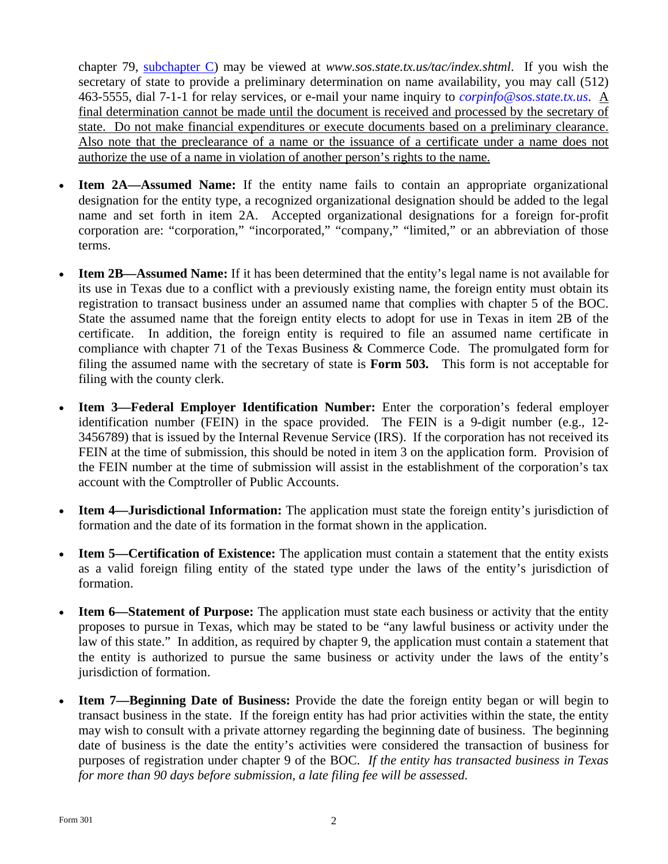chapter 79, [subchapter C\)](http://texreg.sos.state.tx.us/public/readtac$ext.ViewTAC?tac_view=5&ti=1&pt=4&ch=79&sch=C&rl=Y) may be viewed at *www.sos.state.tx.us/tac/index.shtml*. If you wish the secretary of state to provide a preliminary determination on name availability, you may call (512) 463-5555, dial 7-1-1 for relay services, or e-mail your name inquiry to *corpinfo@sos.state.tx.us*. A final determination cannot be made until the document is received and processed by the secretary of state. Do not make financial expenditures or execute documents based on a preliminary clearance. Also note that the preclearance of a name or the issuance of a certificate under a name does not authorize the use of a name in violation of another person's rights to the name.

- **Item 2A—Assumed Name:** If the entity name fails to contain an appropriate organizational designation for the entity type, a recognized organizational designation should be added to the legal name and set forth in item 2A. Accepted organizational designations for a foreign for-profit corporation are: "corporation," "incorporated," "company," "limited," or an abbreviation of those terms.
- **Item 2B—Assumed Name:** If it has been determined that the entity's legal name is not available for its use in Texas due to a conflict with a previously existing name, the foreign entity must obtain its registration to transact business under an assumed name that complies with chapter 5 of the BOC. State the assumed name that the foreign entity elects to adopt for use in Texas in item 2B of the certificate. In addition, the foreign entity is required to file an assumed name certificate in compliance with chapter 71 of the Texas Business & Commerce Code. The promulgated form for filing the assumed name with the secretary of state is **Form 503.** This form is not acceptable for filing with the county clerk.
- **Item 3—Federal Employer Identification Number:** Enter the corporation's federal employer identification number (FEIN) in the space provided. The FEIN is a 9-digit number (e.g., 12- 3456789) that is issued by the Internal Revenue Service (IRS). If the corporation has not received its FEIN at the time of submission, this should be noted in item 3 on the application form. Provision of the FEIN number at the time of submission will assist in the establishment of the corporation's tax account with the Comptroller of Public Accounts.
- **Item 4—Jurisdictional Information:** The application must state the foreign entity's jurisdiction of formation and the date of its formation in the format shown in the application.
- **Item 5—Certification of Existence:** The application must contain a statement that the entity exists as a valid foreign filing entity of the stated type under the laws of the entity's jurisdiction of formation.
- **Item 6—Statement of Purpose:** The application must state each business or activity that the entity proposes to pursue in Texas, which may be stated to be "any lawful business or activity under the law of this state." In addition, as required by chapter 9, the application must contain a statement that the entity is authorized to pursue the same business or activity under the laws of the entity's jurisdiction of formation.
- **Item 7—Beginning Date of Business:** Provide the date the foreign entity began or will begin to transact business in the state. If the foreign entity has had prior activities within the state, the entity may wish to consult with a private attorney regarding the beginning date of business. The beginning date of business is the date the entity's activities were considered the transaction of business for purposes of registration under chapter 9 of the BOC. *If the entity has transacted business in Texas for more than 90 days before submission, a late filing fee will be assessed.*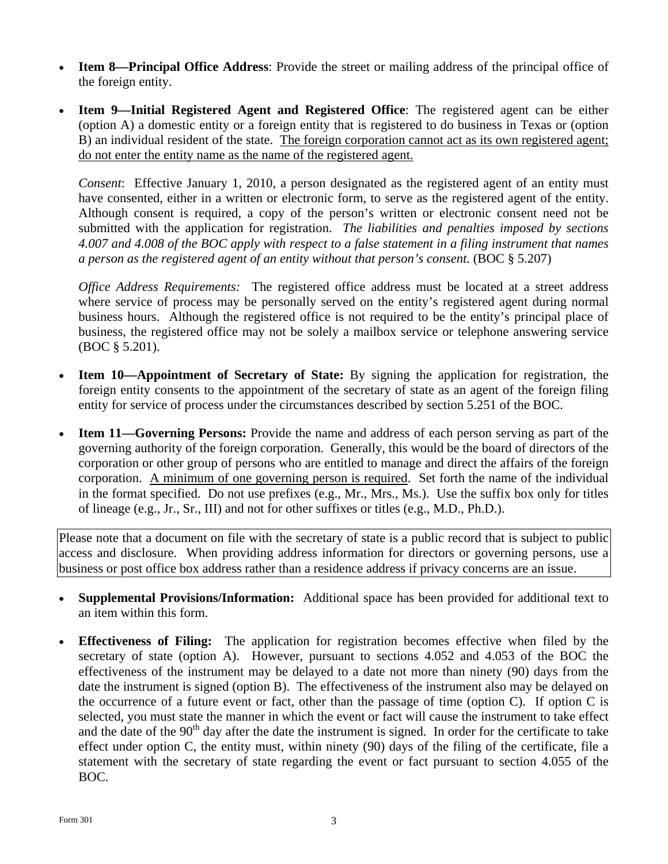- **Item 8—Principal Office Address**: Provide the street or mailing address of the principal office of the foreign entity.
- **Item 9—Initial Registered Agent and Registered Office**: The registered agent can be either (option A) a domestic entity or a foreign entity that is registered to do business in Texas or (option B) an individual resident of the state. The foreign corporation cannot act as its own registered agent; do not enter the entity name as the name of the registered agent.

*Consent*: Effective January 1, 2010, a person designated as the registered agent of an entity must have consented, either in a written or electronic form, to serve as the registered agent of the entity. Although consent is required, a copy of the person's written or electronic consent need not be submitted with the application for registration. *The liabilities and penalties imposed by sections 4.007 and 4.008 of the BOC apply with respect to a false statement in a filing instrument that names a person as the registered agent of an entity without that person's consent.* (BOC § 5.207)

*Office Address Requirements:* The registered office address must be located at a street address where service of process may be personally served on the entity's registered agent during normal business hours. Although the registered office is not required to be the entity's principal place of business, the registered office may not be solely a mailbox service or telephone answering service (BOC § 5.201).

- **Item 10—Appointment of Secretary of State:** By signing the application for registration, the foreign entity consents to the appointment of the secretary of state as an agent of the foreign filing entity for service of process under the circumstances described by section 5.251 of the BOC.
- **Item 11—Governing Persons:** Provide the name and address of each person serving as part of the governing authority of the foreign corporation. Generally, this would be the board of directors of the corporation or other group of persons who are entitled to manage and direct the affairs of the foreign corporation. A minimum of one governing person is required. Set forth the name of the individual in the format specified. Do not use prefixes (e.g., Mr., Mrs., Ms.). Use the suffix box only for titles of lineage (e.g., Jr., Sr., III) and not for other suffixes or titles (e.g., M.D., Ph.D.).

Please note that a document on file with the secretary of state is a public record that is subject to public access and disclosure. When providing address information for directors or governing persons, use a business or post office box address rather than a residence address if privacy concerns are an issue.

- **Supplemental Provisions/Information:** Additional space has been provided for additional text to an item within this form.
- **Effectiveness of Filing:** The application for registration becomes effective when filed by the secretary of state (option A). However, pursuant to sections 4.052 and 4.053 of the BOC the effectiveness of the instrument may be delayed to a date not more than ninety (90) days from the date the instrument is signed (option B). The effectiveness of the instrument also may be delayed on the occurrence of a future event or fact, other than the passage of time (option  $C$ ). If option  $C$  is selected, you must state the manner in which the event or fact will cause the instrument to take effect and the date of the  $90<sup>th</sup>$  day after the date the instrument is signed. In order for the certificate to take effect under option C, the entity must, within ninety (90) days of the filing of the certificate, file a statement with the secretary of state regarding the event or fact pursuant to section 4.055 of the BOC.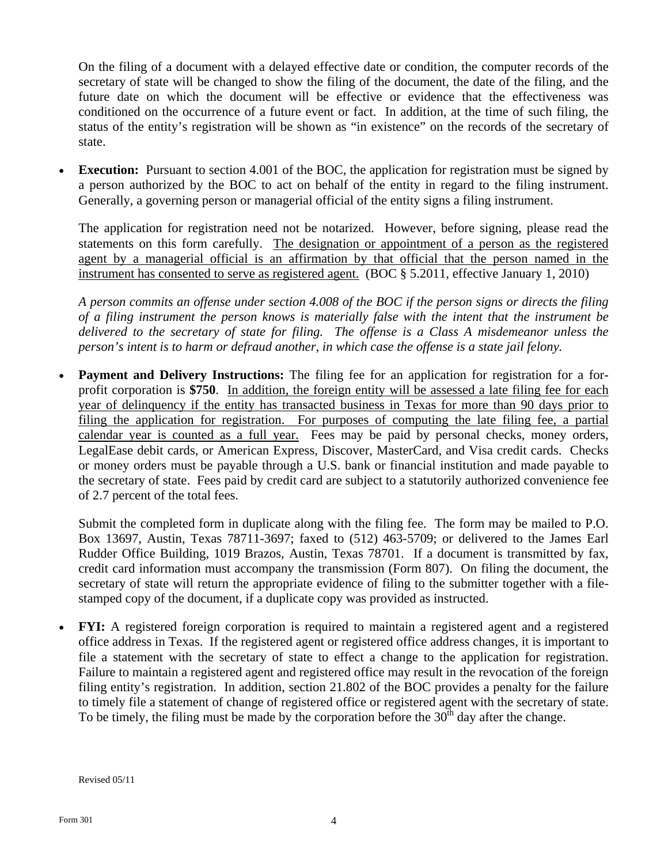On the filing of a document with a delayed effective date or condition, the computer records of the secretary of state will be changed to show the filing of the document, the date of the filing, and the future date on which the document will be effective or evidence that the effectiveness was conditioned on the occurrence of a future event or fact. In addition, at the time of such filing, the status of the entity's registration will be shown as "in existence" on the records of the secretary of state.

**Execution:** Pursuant to section 4.001 of the BOC, the application for registration must be signed by a person authorized by the BOC to act on behalf of the entity in regard to the filing instrument. Generally, a governing person or managerial official of the entity signs a filing instrument.

The application for registration need not be notarized. However, before signing, please read the statements on this form carefully. The designation or appointment of a person as the registered agent by a managerial official is an affirmation by that official that the person named in the instrument has consented to serve as registered agent. (BOC § 5.2011, effective January 1, 2010)

*A person commits an offense under section 4.008 of the BOC if the person signs or directs the filing of a filing instrument the person knows is materially false with the intent that the instrument be delivered to the secretary of state for filing. The offense is a Class A misdemeanor unless the person's intent is to harm or defraud another, in which case the offense is a state jail felony.* 

**Payment and Delivery Instructions:** The filing fee for an application for registration for a forprofit corporation is **\$750**. In addition, the foreign entity will be assessed a late filing fee for each year of delinquency if the entity has transacted business in Texas for more than 90 days prior to filing the application for registration. For purposes of computing the late filing fee, a partial calendar year is counted as a full year. Fees may be paid by personal checks, money orders, LegalEase debit cards, or American Express, Discover, MasterCard, and Visa credit cards. Checks or money orders must be payable through a U.S. bank or financial institution and made payable to the secretary of state. Fees paid by credit card are subject to a statutorily authorized convenience fee of 2.7 percent of the total fees.

Submit the completed form in duplicate along with the filing fee. The form may be mailed to P.O. Box 13697, Austin, Texas 78711-3697; faxed to (512) 463-5709; or delivered to the James Earl Rudder Office Building, 1019 Brazos, Austin, Texas 78701. If a document is transmitted by fax, credit card information must accompany the transmission (Form 807). On filing the document, the secretary of state will return the appropriate evidence of filing to the submitter together with a filestamped copy of the document, if a duplicate copy was provided as instructed.

 **FYI:** A registered foreign corporation is required to maintain a registered agent and a registered office address in Texas. If the registered agent or registered office address changes, it is important to file a statement with the secretary of state to effect a change to the application for registration. Failure to maintain a registered agent and registered office may result in the revocation of the foreign filing entity's registration. In addition, section 21.802 of the BOC provides a penalty for the failure to timely file a statement of change of registered office or registered agent with the secretary of state. To be timely, the filing must be made by the corporation before the  $30<sup>th</sup>$  day after the change.

Revised 05/11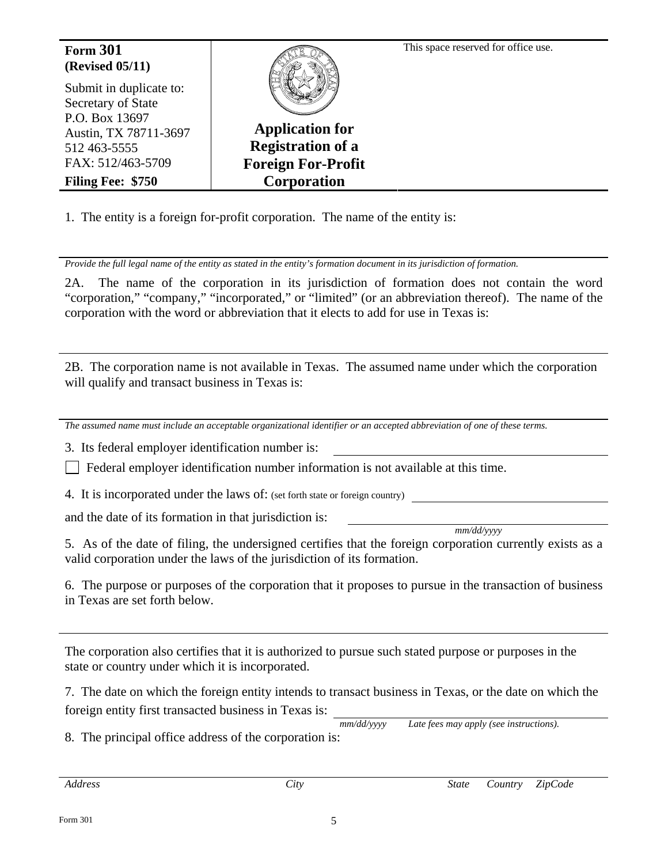Form 301 **Form 301 Form 301 Form 301 Form 301 Form 301 Form 301 Form 301 (Revised 05/11)**  Submit in duplicate to: Secretary of State P.O. Box 13697 Austin, TX 78711-3697 512 463-5555 FAX: 512/463-5709 **Filing Fee: \$750 Application for Registration of a Foreign For-Profit Corporation**

1. The entity is a foreign for-profit corporation. The name of the entity is:

*Provide the full legal name of the entity as stated in the entity's formation document in its jurisdiction of formation.* 

2A. The name of the corporation in its jurisdiction of formation does not contain the word "corporation," "company," "incorporated," or "limited" (or an abbreviation thereof). The name of the corporation with the word or abbreviation that it elects to add for use in Texas is:

2B. The corporation name is not available in Texas. The assumed name under which the corporation will qualify and transact business in Texas is:

*The assumed name must include an acceptable organizational identifier or an accepted abbreviation of one of these terms.* 

3. Its federal employer identification number is:

 $\Box$  Federal employer identification number information is not available at this time.

4. It is incorporated under the laws of: (set forth state or foreign country)

and the date of its formation in that jurisdiction is:

*mm/dd/yyyy* 

5. As of the date of filing, the undersigned certifies that the foreign corporation currently exists as a valid corporation under the laws of the jurisdiction of its formation.

6. The purpose or purposes of the corporation that it proposes to pursue in the transaction of business in Texas are set forth below.

The corporation also certifies that it is authorized to pursue such stated purpose or purposes in the state or country under which it is incorporated.

7. The date on which the foreign entity intends to transact business in Texas, or the date on which the foreign entity first transacted business in Texas is:

*mm/dd/yyyy Late fees may apply (see instructions).*  8. The principal office address of the corporation is: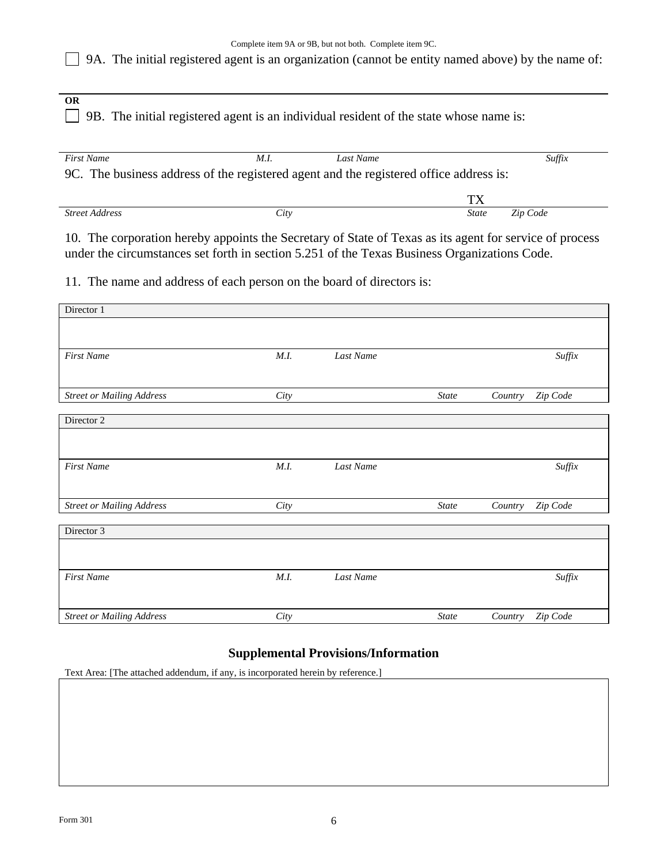# 9A. The initial registered agent is an organization (cannot be entity named above) by the name of:

**OR** 

9B. The initial registered agent is an individual resident of the state whose name is:

| <b>First Name</b>                                                                      | M.I  | Last Name |              | Suffix   |  |  |  |
|----------------------------------------------------------------------------------------|------|-----------|--------------|----------|--|--|--|
| 9C. The business address of the registered agent and the registered office address is: |      |           |              |          |  |  |  |
|                                                                                        |      |           | TХ           |          |  |  |  |
| <b>Street Address</b>                                                                  | City |           | <b>State</b> | Zip Code |  |  |  |

10. The corporation hereby appoints the Secretary of State of Texas as its agent for service of process under the circumstances set forth in section 5.251 of the Texas Business Organizations Code.

11. The name and address of each person on the board of directors is:

| Director 1                       |      |           |              |         |          |
|----------------------------------|------|-----------|--------------|---------|----------|
|                                  |      |           |              |         |          |
| <b>First Name</b>                | M.I. | Last Name |              |         | Suffix   |
|                                  |      |           |              |         |          |
| <b>Street or Mailing Address</b> | City |           | <b>State</b> | Country | Zip Code |
| Director 2                       |      |           |              |         |          |
|                                  |      |           |              |         |          |
| <b>First Name</b>                | M.I. | Last Name |              |         | Suffix   |
|                                  |      |           |              |         |          |
| <b>Street or Mailing Address</b> | City |           | <b>State</b> | Country | Zip Code |
| Director 3                       |      |           |              |         |          |
|                                  |      |           |              |         |          |
| <b>First Name</b>                | M.I. | Last Name |              |         | Suffix   |
|                                  |      |           |              |         |          |
| <b>Street or Mailing Address</b> | City |           | <b>State</b> | Country | Zip Code |

### **Supplemental Provisions/Information**

Text Area: [The attached addendum, if any, is incorporated herein by reference.]